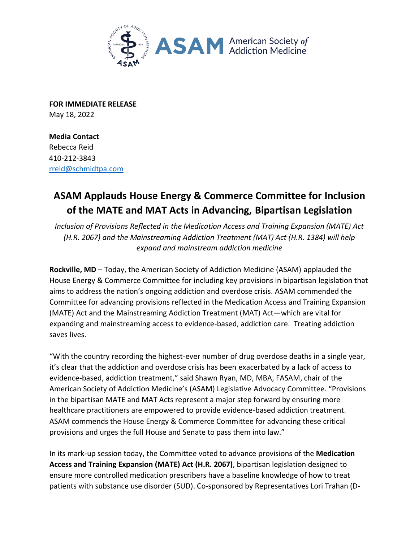

**FOR IMMEDIATE RELEASE**  May 18, 2022

**Media Contact**  Rebecca Reid 410-212-3843 rreid@schmidtpa.com

## **ASAM Applauds House Energy & Commerce Committee for Inclusion of the MATE and MAT Acts in Advancing, Bipartisan Legislation**

*Inclusion of Provisions Reflected in the Medication Access and Training Expansion (MATE) Act (H.R. 2067) and the Mainstreaming Addiction Treatment (MAT) Act (H.R. 1384) will help expand and mainstream addiction medicine* 

**Rockville, MD** – Today, the American Society of Addiction Medicine (ASAM) applauded the House Energy & Commerce Committee for including key provisions in bipartisan legislation that aims to address the nation's ongoing addiction and overdose crisis. ASAM commended the Committee for advancing provisions reflected in the Medication Access and Training Expansion (MATE) Act and the Mainstreaming Addiction Treatment (MAT) Act—which are vital for expanding and mainstreaming access to evidence-based, addiction care. Treating addiction saves lives.

"With the country recording the highest-ever number of drug overdose deaths in a single year, it's clear that the addiction and overdose crisis has been exacerbated by a lack of access to evidence-based, addiction treatment," said Shawn Ryan, MD, MBA, FASAM, chair of the American Society of Addiction Medicine's (ASAM) Legislative Advocacy Committee. "Provisions in the bipartisan MATE and MAT Acts represent a major step forward by ensuring more healthcare practitioners are empowered to provide evidence-based addiction treatment. ASAM commends the House Energy & Commerce Committee for advancing these critical provisions and urges the full House and Senate to pass them into law."

In its mark-up session today, the Committee voted to advance provisions of the **Medication Access and Training Expansion (MATE) Act (H.R. 2067)**, bipartisan legislation designed to ensure more controlled medication prescribers have a baseline knowledge of how to treat patients with substance use disorder (SUD). Co-sponsored by Representatives Lori Trahan (D-